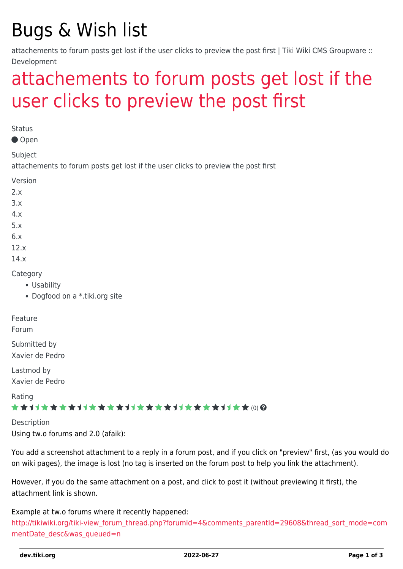# Bugs & Wish list

attachements to forum posts get lost if the user clicks to preview the post first | Tiki Wiki CMS Groupware :: Development

## [attachements to forum posts get lost if the](https://dev.tiki.org/item1986-attachements-to-forum-posts-get-lost-if-the-user-clicks-to-preview-the-post-first) [user clicks to preview the post first](https://dev.tiki.org/item1986-attachements-to-forum-posts-get-lost-if-the-user-clicks-to-preview-the-post-first)

**Status** 

Open

Subject

attachements to forum posts get lost if the user clicks to preview the post first

Version

- $2x$
- 3.x
- 4.x
- 5.x
- 
- 6.x 12.x
- 
- 14.x

Category

- Usability
- Dogfood on a \*.tiki.org site

Feature

Forum

Submitted by Xavier de Pedro

Lastmod by Xavier de Pedro

Rating

#### \*\*\*\*\*\*\*\*\*\*\*\*\*\*\*\*\*\*\*\*\*\*\*\*\*\*\*\*\*\*

Description Using tw.o forums and 2.0 (afaik):

You add a screenshot attachment to a reply in a forum post, and if you click on "preview" first, (as you would do on wiki pages), the image is lost (no tag is inserted on the forum post to help you link the attachment).

However, if you do the same attachment on a post, and click to post it (without previewing it first), the attachment link is shown.

Example at tw.o forums where it recently happened:

[http://tikiwiki.org/tiki-view\\_forum\\_thread.php?forumId=4&comments\\_parentId=29608&thread\\_sort\\_mode=com](http://tikiwiki.org/tiki-view_forum_thread.php?forumId=4&comments_parentId=29608&thread_sort_mode=commentDate_desc&was_queued=n) [mentDate\\_desc&was\\_queued=n](http://tikiwiki.org/tiki-view_forum_thread.php?forumId=4&comments_parentId=29608&thread_sort_mode=commentDate_desc&was_queued=n)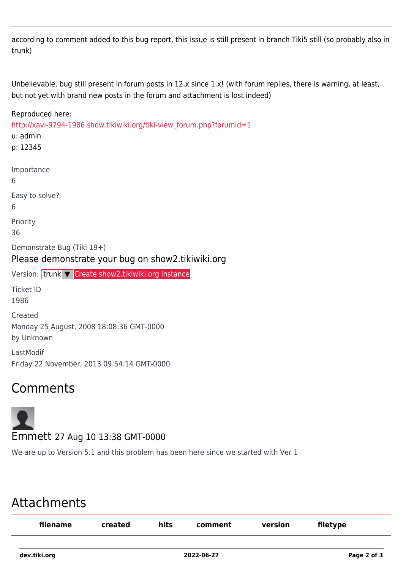according to comment added to this bug report, this issue is still present in branch Tiki5 still (so probably also in trunk)

Unbelievable, bug still present in forum posts in 12.x since 1.x! (with forum replies, there is warning, at least, but not yet with brand new posts in the forum and attachment is lost indeed)

#### Reproduced here: [http://xavi-9794-1986.show.tikiwiki.org/tiki-view\\_forum.php?forumId=1](http://xavi-9794-1986.show.tikiwiki.org/tiki-view_forum.php?forumId=1) u: admin p: 12345 Importance 6 Easy to solve? 6 Priority 36 Demonstrate Bug (Tiki 19+) Please demonstrate your bug on show2.tikiwiki.org Version: trunk ▼ [Create show2.tikiwiki.org instance](#page--1-0) Ticket ID 1986 Created Monday 25 August, 2008 18:08:36 GMT-0000 by Unknown LastModif Friday 22 November, 2013 09:54:14 GMT-0000

### Comments



We are up to Version 5.1 and this problem has been here since we started with Ver 1

### Attachments

| filename     | created | hits | comment    | version | filetype    |
|--------------|---------|------|------------|---------|-------------|
| dev.tiki.org |         |      | 2022-06-27 |         | Page 2 of 3 |